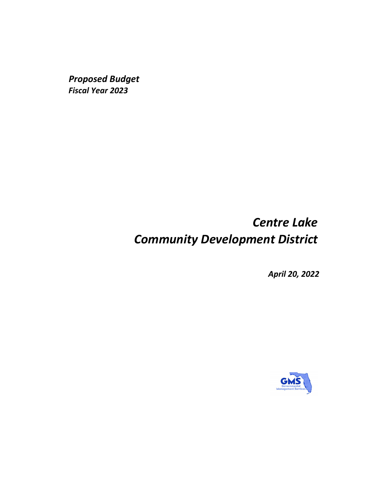*Proposed Budget Fiscal Year 2023*

# *Centre Lake Community Development District*

*April 20, 2022*

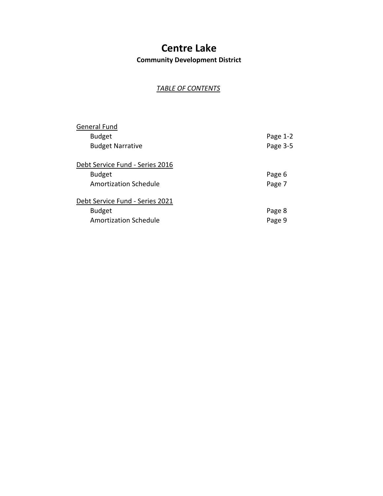**Community Development District**

## *TABLE OF CONTENTS*

| <b>General Fund</b>             |          |
|---------------------------------|----------|
| <b>Budget</b>                   | Page 1-2 |
| <b>Budget Narrative</b>         | Page 3-5 |
| Debt Service Fund - Series 2016 |          |
| <b>Budget</b>                   | Page 6   |
| <b>Amortization Schedule</b>    | Page 7   |
| Debt Service Fund - Series 2021 |          |
| <b>Budget</b>                   | Page 8   |
| <b>Amortization Schedule</b>    | Page 9   |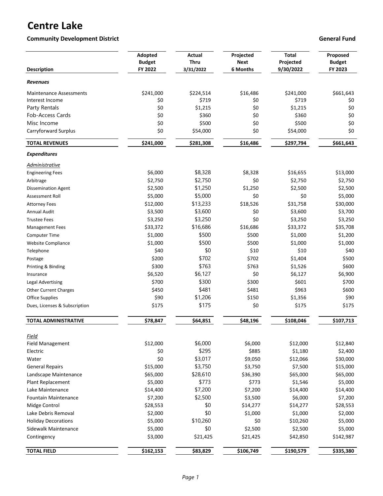## **Community Development District Community Development District Community Development District Community Development District Community Development District Community Development District Community Development District Comm**

| <b>Description</b>               | Adopted<br><b>Budget</b><br>FY 2022 | <b>Actual</b><br><b>Thru</b><br>3/31/2022 | Projected<br><b>Next</b><br>6 Months | <b>Total</b><br>Projected<br>9/30/2022 | Proposed<br><b>Budget</b><br>FY 2023 |
|----------------------------------|-------------------------------------|-------------------------------------------|--------------------------------------|----------------------------------------|--------------------------------------|
| Revenues                         |                                     |                                           |                                      |                                        |                                      |
| <b>Maintenance Assessments</b>   | \$241,000                           | \$224,514                                 | \$16,486                             | \$241,000                              | \$661,643                            |
| Interest Income                  | \$0                                 | \$719                                     | \$0                                  | \$719                                  | \$0                                  |
| Party Rentals                    | \$0                                 | \$1,215                                   | \$0                                  | \$1,215                                | \$0                                  |
| <b>Fob-Access Cards</b>          | \$0                                 | \$360                                     | \$0                                  | \$360                                  | \$0                                  |
| Misc Income                      | \$0                                 | \$500                                     | \$0                                  | \$500                                  | \$0                                  |
| Carryforward Surplus             | \$0                                 | \$54,000                                  | \$0                                  | \$54,000                               | \$0                                  |
| <b>TOTAL REVENUES</b>            | \$241,000                           | \$281,308                                 | \$16,486                             | \$297,794                              | \$661,643                            |
| <b>Expenditures</b>              |                                     |                                           |                                      |                                        |                                      |
| Administrative                   |                                     |                                           |                                      |                                        |                                      |
| <b>Engineering Fees</b>          | \$6,000                             | \$8,328                                   | \$8,328                              | \$16,655                               | \$13,000                             |
| Arbitrage                        | \$2,750                             | \$2,750                                   | \$0                                  | \$2,750                                | \$2,750                              |
| <b>Dissemination Agent</b>       | \$2,500                             | \$1,250                                   | \$1,250                              | \$2,500                                | \$2,500                              |
| Assessment Roll                  | \$5,000                             | \$5,000                                   | \$0                                  | \$0                                    | \$5,000                              |
| <b>Attorney Fees</b>             | \$12,000                            | \$13,233                                  | \$18,526                             | \$31,758                               | \$30,000                             |
| <b>Annual Audit</b>              | \$3,500                             | \$3,600                                   | \$0                                  | \$3,600                                | \$3,700                              |
| <b>Trustee Fees</b>              | \$3,250                             | \$3,250                                   | \$0                                  | \$3,250                                | \$3,250                              |
| <b>Management Fees</b>           | \$33,372                            | \$16,686                                  | \$16,686                             | \$33,372                               | \$35,708                             |
| Computer Time                    | \$1,000                             | \$500                                     | \$500                                | \$1,000                                | \$1,200                              |
| <b>Website Compliance</b>        | \$1,000                             | \$500                                     | \$500                                | \$1,000                                | \$1,000                              |
| Telephone                        | \$40                                | \$0                                       | \$10                                 | \$10                                   | \$40                                 |
| Postage                          | \$200                               | \$702                                     | \$702                                | \$1,404                                | \$500                                |
| Printing & Binding               | \$300                               | \$763                                     | \$763                                | \$1,526                                | \$600                                |
| Insurance                        | \$6,520                             | \$6,127                                   | \$0                                  | \$6,127                                | \$6,900                              |
| <b>Legal Advertising</b>         | \$700                               | \$300                                     | \$300                                | \$601                                  | \$700                                |
| <b>Other Current Charges</b>     | \$450                               | \$481                                     | \$481                                | \$963                                  | \$600                                |
| <b>Office Supplies</b>           | \$90                                | \$1,206                                   | \$150                                | \$1,356                                | \$90                                 |
| Dues, Licenses & Subscription    | \$175                               | \$175                                     | \$0                                  | \$175                                  | \$175                                |
| <b>TOTAL ADMINISTRATIVE</b>      | \$78,847                            | \$64,851                                  | \$48,196                             | \$108,046                              | \$107,713                            |
|                                  |                                     |                                           |                                      |                                        |                                      |
| Field<br><b>Field Management</b> | \$12,000                            | \$6,000                                   | \$6,000                              | \$12,000                               | \$12,840                             |
| Electric                         | \$0                                 | \$295                                     | \$885                                | \$1,180                                | \$2,400                              |
| Water                            | \$0                                 | \$3,017                                   | \$9,050                              | \$12,066                               | \$30,000                             |
| <b>General Repairs</b>           | \$15,000                            | \$3,750                                   | \$3,750                              | \$7,500                                | \$15,000                             |
| Landscape Maintenance            | \$65,000                            | \$28,610                                  | \$36,390                             | \$65,000                               | \$65,000                             |
| Plant Replacement                | \$5,000                             | \$773                                     | \$773                                | \$1,546                                | \$5,000                              |
| Lake Maintenance                 | \$14,400                            | \$7,200                                   | \$7,200                              | \$14,400                               | \$14,400                             |
| <b>Fountain Maintenance</b>      | \$7,200                             | \$2,500                                   | \$3,500                              | \$6,000                                | \$7,200                              |
| Midge Control                    | \$28,553                            | \$0                                       | \$14,277                             | \$14,277                               | \$28,553                             |
| Lake Debris Removal              | \$2,000                             | \$0                                       | \$1,000                              | \$1,000                                | \$2,000                              |
| <b>Holiday Decorations</b>       | \$5,000                             | \$10,260                                  | \$0                                  | \$10,260                               | \$5,000                              |
| Sidewalk Maintenance             | \$5,000                             | \$0                                       | \$2,500                              | \$2,500                                | \$5,000                              |
| Contingency                      | \$3,000                             | \$21,425                                  | \$21,425                             | \$42,850                               | \$142,987                            |
| <b>TOTAL FIELD</b>               | \$162,153                           | \$83,829                                  | \$106,749                            | \$190,579                              | \$335,380                            |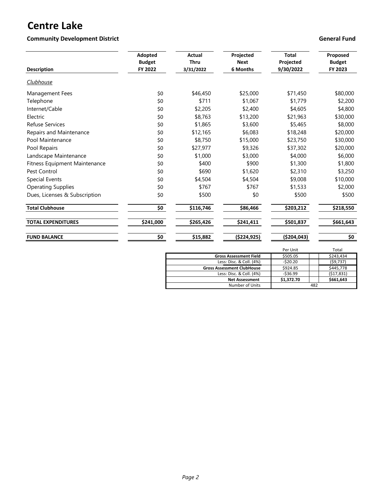## **Community Development District Community Development District Community Development District Community Development District Community Development District Community Development District Community Development District Comm**

| <b>Description</b>            | <b>Adopted</b><br><b>Budget</b><br>FY 2022 | <b>Actual</b><br><b>Thru</b><br>3/31/2022 | Projected<br><b>Next</b><br>6 Months | <b>Total</b><br>Projected<br>9/30/2022 | Proposed<br><b>Budget</b><br>FY 2023 |  |
|-------------------------------|--------------------------------------------|-------------------------------------------|--------------------------------------|----------------------------------------|--------------------------------------|--|
| <b>Clubhouse</b>              |                                            |                                           |                                      |                                        |                                      |  |
| Management Fees               | \$0                                        | \$46,450                                  | \$25,000                             | \$71,450                               | \$80,000                             |  |
| Telephone                     | \$0                                        | \$711                                     | \$1,067                              | \$1,779                                | \$2,200                              |  |
| Internet/Cable                | \$0                                        | \$2,205                                   | \$2,400                              | \$4,605                                | \$4,800                              |  |
| Electric                      | \$0                                        | \$8,763                                   | \$13,200                             | \$21,963                               | \$30,000                             |  |
| <b>Refuse Services</b>        | \$0                                        | \$1,865                                   | \$3,600                              | \$5,465                                | \$8,000                              |  |
| Repairs and Maintenance       | \$0                                        | \$12,165                                  | \$6,083                              | \$18,248                               | \$20,000                             |  |
| Pool Maintenance              | \$0                                        | \$8,750                                   | \$15,000                             | \$23,750                               | \$30,000                             |  |
| Pool Repairs                  | \$0                                        | \$27,977                                  | \$9,326                              | \$37,302                               | \$20,000                             |  |
| Landscape Maintenance         | \$0                                        | \$1,000                                   | \$3,000                              | \$4,000                                | \$6,000                              |  |
| Fitness Equipment Maintenance | \$0                                        | \$400                                     | \$900                                | \$1,300                                | \$1,800                              |  |
| Pest Control                  | \$0                                        | \$690                                     | \$1,620                              | \$2,310                                | \$3,250                              |  |
| <b>Special Events</b>         | \$0                                        | \$4,504                                   | \$4,504                              | \$9,008                                | \$10,000                             |  |
| <b>Operating Supplies</b>     | \$0                                        | \$767                                     | \$767                                | \$1,533                                | \$2,000                              |  |
| Dues, Licenses & Subscription | \$0                                        | \$500                                     | \$0                                  | \$500                                  | \$500                                |  |
| <b>Total Clubhouse</b>        | \$0                                        | \$116,746                                 | \$86,466                             | \$203,212                              | \$218,550                            |  |
| <b>TOTAL EXPENDITURES</b>     | \$241,000                                  | \$265,426                                 | \$241,411                            | \$501,837                              | \$661,643                            |  |
| <b>FUND BALANCE</b>           | \$0                                        | \$15,882                                  | ( \$224, 925)                        | ( \$204,043)                           | \$0                                  |  |

|                                   | Per Unit   | Total      |
|-----------------------------------|------------|------------|
| <b>Gross Assessment Field</b>     | \$505.05   | \$243,434  |
| Less: Disc. & Coll. (4%)          | $-520.20$  | (59, 737)  |
| <b>Gross Assessment ClubHouse</b> | \$924.85   | \$445,778  |
| Less: Disc. & Coll. (4%)          | $-536.99$  | (517, 831) |
| <b>Net Assessment</b>             | \$1,372.70 | \$661,643  |
| Number of Units                   |            | 482        |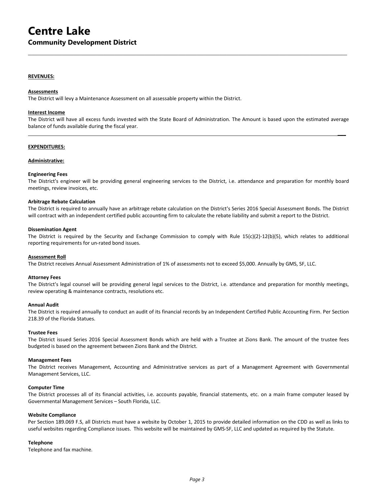#### **REVENUES:**

#### **Assessments**

The District will levy a Maintenance Assessment on all assessable property within the District.

#### **Interest Income**

The District will have all excess funds invested with the State Board of Administration. The Amount is based upon the estimated average balance of funds available during the fiscal year.

 **\_\_\_**

 $\mathcal{L}_\mathcal{L} = \{ \mathcal{L}_\mathcal{L} = \{ \mathcal{L}_\mathcal{L} = \{ \mathcal{L}_\mathcal{L} = \{ \mathcal{L}_\mathcal{L} = \{ \mathcal{L}_\mathcal{L} = \{ \mathcal{L}_\mathcal{L} = \{ \mathcal{L}_\mathcal{L} = \{ \mathcal{L}_\mathcal{L} = \{ \mathcal{L}_\mathcal{L} = \{ \mathcal{L}_\mathcal{L} = \{ \mathcal{L}_\mathcal{L} = \{ \mathcal{L}_\mathcal{L} = \{ \mathcal{L}_\mathcal{L} = \{ \mathcal{L}_\mathcal{$ 

#### **EXPENDITURES:**

#### **Administrative:**

#### **Engineering Fees**

The District's engineer will be providing general engineering services to the District, i.e. attendance and preparation for monthly board meetings, review invoices, etc.

#### **Arbitrage Rebate Calculation**

The District is required to annually have an arbitrage rebate calculation on the District's Series 2016 Special Assessment Bonds. The District will contract with an independent certified public accounting firm to calculate the rebate liability and submit a report to the District.

#### **Dissemination Agent**

The District is required by the Security and Exchange Commission to comply with Rule 15(c)(2)-12(b)(5), which relates to additional reporting requirements for un-rated bond issues.

#### **Assessment Roll**

The District receives Annual Assessment Administration of 1% of assessments not to exceed \$5,000. Annually by GMS, SF, LLC.

#### **Attorney Fees**

The District's legal counsel will be providing general legal services to the District, i.e. attendance and preparation for monthly meetings, review operating & maintenance contracts, resolutions etc.

#### **Annual Audit**

The District is required annually to conduct an audit of its financial records by an Independent Certified Public Accounting Firm. Per Section 218.39 of the Florida Statues.

#### **Trustee Fees**

The District issued Series 2016 Special Assessment Bonds which are held with a Trustee at Zions Bank. The amount of the trustee fees budgeted is based on the agreement between Zions Bank and the District.

#### **Management Fees**

The District receives Management, Accounting and Administrative services as part of a Management Agreement with Governmental Management Services, LLC.

#### **Computer Time**

The District processes all of its financial activities, i.e. accounts payable, financial statements, etc. on a main frame computer leased by Governmental Management Services – South Florida, LLC.

#### **Website Compliance**

Per Section 189.069 F.S, all Districts must have a website by October 1, 2015 to provide detailed information on the CDD as well as links to useful websites regarding Compliance issues. This website will be maintained by GMS-SF, LLC and updated as required by the Statute.

#### **Telephone**

Telephone and fax machine.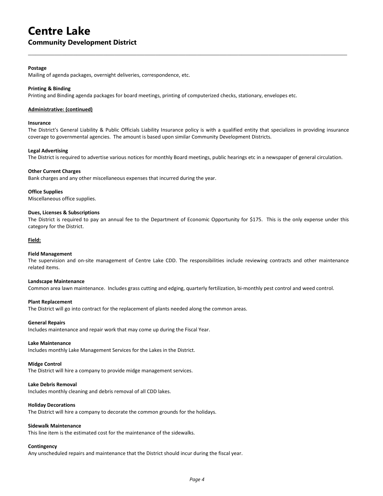#### **Community Development District**

#### **Postage**

Mailing of agenda packages, overnight deliveries, correspondence, etc.

#### **Printing & Binding**

Printing and Binding agenda packages for board meetings, printing of computerized checks, stationary, envelopes etc.

#### **Administrative: (continued)**

#### **Insurance**

The District's General Liability & Public Officials Liability Insurance policy is with a qualified entity that specializes in providing insurance coverage to governmental agencies. The amount is based upon similar Community Development Districts.

 $\mathcal{L}_\mathcal{L} = \{ \mathcal{L}_\mathcal{L} = \{ \mathcal{L}_\mathcal{L} = \{ \mathcal{L}_\mathcal{L} = \{ \mathcal{L}_\mathcal{L} = \{ \mathcal{L}_\mathcal{L} = \{ \mathcal{L}_\mathcal{L} = \{ \mathcal{L}_\mathcal{L} = \{ \mathcal{L}_\mathcal{L} = \{ \mathcal{L}_\mathcal{L} = \{ \mathcal{L}_\mathcal{L} = \{ \mathcal{L}_\mathcal{L} = \{ \mathcal{L}_\mathcal{L} = \{ \mathcal{L}_\mathcal{L} = \{ \mathcal{L}_\mathcal{$ 

#### **Legal Advertising**

The District is required to advertise various notices for monthly Board meetings, public hearings etc in a newspaper of general circulation.

#### **Other Current Charges**

Bank charges and any other miscellaneous expenses that incurred during the year.

#### **Office Supplies**

Miscellaneous office supplies.

#### **Dues, Licenses & Subscriptions**

The District is required to pay an annual fee to the Department of Economic Opportunity for \$175. This is the only expense under this category for the District.

#### **Field:**

#### **Field Management**

The supervision and on-site management of Centre Lake CDD. The responsibilities include reviewing contracts and other maintenance related items.

#### **Landscape Maintenance**

Common area lawn maintenance. Includes grass cutting and edging, quarterly fertilization, bi-monthly pest control and weed control.

#### **Plant Replacement**

The District will go into contract for the replacement of plants needed along the common areas.

#### **General Repairs**

Includes maintenance and repair work that may come up during the Fiscal Year.

#### **Lake Maintenance**

Includes monthly Lake Management Services for the Lakes in the District.

#### **Midge Control**

The District will hire a company to provide midge management services.

#### **Lake Debris Removal**

Includes monthly cleaning and debris removal of all CDD lakes.

#### **Holiday Decorations**

The District will hire a company to decorate the common grounds for the holidays.

#### **Sidewalk Maintenance**

This line item is the estimated cost for the maintenance of the sidewalks.

#### **Contingency**

Any unscheduled repairs and maintenance that the District should incur during the fiscal year.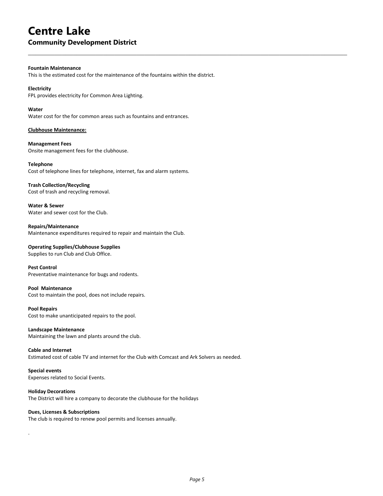#### **Community Development District**

#### **Fountain Maintenance**

This is the estimated cost for the maintenance of the fountains within the district.

 $\mathcal{L}_\mathcal{L} = \{ \mathcal{L}_\mathcal{L} = \{ \mathcal{L}_\mathcal{L} = \{ \mathcal{L}_\mathcal{L} = \{ \mathcal{L}_\mathcal{L} = \{ \mathcal{L}_\mathcal{L} = \{ \mathcal{L}_\mathcal{L} = \{ \mathcal{L}_\mathcal{L} = \{ \mathcal{L}_\mathcal{L} = \{ \mathcal{L}_\mathcal{L} = \{ \mathcal{L}_\mathcal{L} = \{ \mathcal{L}_\mathcal{L} = \{ \mathcal{L}_\mathcal{L} = \{ \mathcal{L}_\mathcal{L} = \{ \mathcal{L}_\mathcal{$ 

#### **Electricity**

FPL provides electricity for Common Area Lighting.

#### **Water**

Water cost for the for common areas such as fountains and entrances.

#### **Clubhouse Maintenance:**

**Management Fees** Onsite management fees for the clubhouse.

**Telephone** Cost of telephone lines for telephone, internet, fax and alarm systems.

#### **Trash Collection/Recycling**

Cost of trash and recycling removal.

**Water & Sewer** Water and sewer cost for the Club.

**Repairs/Maintenance**  Maintenance expenditures required to repair and maintain the Club.

**Operating Supplies/Clubhouse Supplies** Supplies to run Club and Club Office.

**Pest Control** Preventative maintenance for bugs and rodents.

#### **Pool Maintenance**

Cost to maintain the pool, does not include repairs.

**Pool Repairs** Cost to make unanticipated repairs to the pool.

**Landscape Maintenance** Maintaining the lawn and plants around the club.

#### **Cable and Internet**

Estimated cost of cable TV and internet for the Club with Comcast and Ark Solvers as needed.

**Special events**

.

Expenses related to Social Events.

#### **Holiday Decorations**

The District will hire a company to decorate the clubhouse for the holidays

#### **Dues, Licenses & Subscriptions**

The club is required to renew pool permits and licenses annually.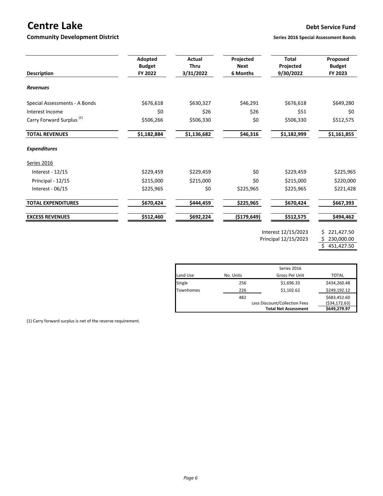# **Centre Lake Debt Service Fund**

#### **Community Development District Series 2016** Series 2016 Special Assessment Bonds

| <b>Description</b>                   | Adopted<br><b>Budget</b><br>FY 2022 | <b>Actual</b><br>Thru<br>3/31/2022 | Projected<br><b>Next</b><br>6 Months | <b>Total</b><br>Projected<br>9/30/2022 | Proposed<br><b>Budget</b><br>FY 2023 |  |
|--------------------------------------|-------------------------------------|------------------------------------|--------------------------------------|----------------------------------------|--------------------------------------|--|
| <b>Revenues</b>                      |                                     |                                    |                                      |                                        |                                      |  |
| Special Assessments - A Bonds        | \$676,618                           | \$630,327                          | \$46,291                             | \$676,618                              | \$649,280                            |  |
| Interest Income                      | \$0                                 | \$26                               | \$26                                 | \$51                                   | \$0                                  |  |
| Carry Forward Surplus <sup>(1)</sup> | \$506,266                           | \$506,330                          | \$0                                  | \$506,330                              | \$512,575                            |  |
| <b>TOTAL REVENUES</b>                | \$1,182,884                         | \$1,136,682                        | \$46,316                             | \$1,182,999                            | \$1,161,855                          |  |
| <b>Expenditures</b>                  |                                     |                                    |                                      |                                        |                                      |  |
| Series 2016                          |                                     |                                    |                                      |                                        |                                      |  |
| Interest - 12/15                     | \$229,459                           | \$229,459                          | \$0                                  | \$229,459                              | \$225,965                            |  |
| Principal - 12/15                    | \$215,000                           | \$215,000                          | \$0                                  | \$215,000                              | \$220,000                            |  |
| Interest - $06/15$                   | \$225,965                           | \$0                                | \$225,965                            | \$225,965                              | \$221,428                            |  |
| <b>TOTAL EXPENDITURES</b>            | \$670,424                           | \$444,459                          | \$225,965                            | \$670,424                              | \$667,393                            |  |
| <b>EXCESS REVENUES</b>               | \$512,460                           | \$692,224                          | (\$179,649)                          | \$512,575                              | \$494,462                            |  |
|                                      |                                     |                                    |                                      |                                        | $\cdots$                             |  |

Interest 12/15/2023 \$ 221,427.50<br>Principal 12/15/2023 \$ 230,000.00 Principal 12/15/2023

 $$ 451,427.50$ 

|                  |           | <b>Total Net Assessment</b>   | \$649,279.97    |
|------------------|-----------|-------------------------------|-----------------|
|                  |           | Less Discount/Collection Fees | ( \$34, 172.63) |
|                  | 482       |                               | \$683,452.60    |
| <b>Townhomes</b> | 226       | \$1,102.62                    | \$249,192.12    |
| Single           | 256       | \$1,696.33                    | \$434,260.48    |
| Land Use         | No. Units | Gross Per Unit                | <b>TOTAL</b>    |
|                  |           | Series 2016                   |                 |

(1) Carry forward surplus is net of the reserve requirement.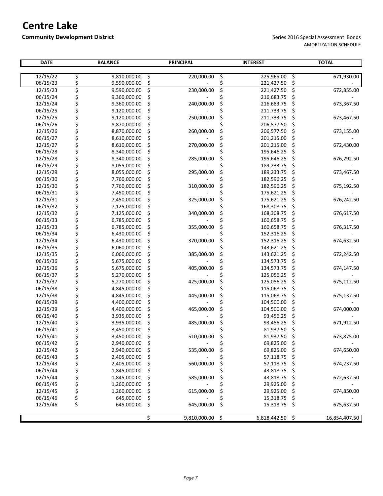## **Community Development District** Series 2016 Special Assessment Bonds

| <b>DATE</b> |                                  | <b>BALANCE</b> |    | <b>PRINCIPAL</b>  |    |                   | <b>INTEREST</b> |               |  |  | <b>TOTAL</b> |  |  |
|-------------|----------------------------------|----------------|----|-------------------|----|-------------------|-----------------|---------------|--|--|--------------|--|--|
| 12/15/22    | \$                               | 9,810,000.00   | \$ | 220,000.00        | \$ | 225,965.00        | \$              | 671,930.00    |  |  |              |  |  |
| 06/15/23    | \$                               | 9,590,000.00   | \$ |                   | \$ | 221,427.50        | \$              |               |  |  |              |  |  |
| 12/15/23    | \$                               | 9,590,000.00   | \$ | 230,000.00        | \$ | 221,427.50        | ड़              | 672,855.00    |  |  |              |  |  |
| 06/15/24    |                                  | 9,360,000.00   | \$ |                   | \$ | 216,683.75        | \$              |               |  |  |              |  |  |
| 12/15/24    |                                  | 9,360,000.00   | \$ | 240,000.00        | \$ | 216,683.75        | \$              | 673,367.50    |  |  |              |  |  |
| 06/15/25    |                                  | 9,120,000.00   | \$ |                   | \$ | 211,733.75        | \$              |               |  |  |              |  |  |
| 12/15/25    |                                  | 9,120,000.00   | \$ | 250,000.00        | \$ | 211,733.75        | \$              | 673,467.50    |  |  |              |  |  |
| 06/15/26    |                                  | 8,870,000.00   | \$ |                   | \$ | 206,577.50        | \$              |               |  |  |              |  |  |
| 12/15/26    |                                  | 8,870,000.00   | \$ | 260,000.00        | \$ | 206,577.50        | \$              | 673,155.00    |  |  |              |  |  |
| 06/15/27    |                                  | 8,610,000.00   | \$ |                   | \$ | 201,215.00        | \$              |               |  |  |              |  |  |
| 12/15/27    | や ややや ややや ややややや ややや ややや やややや ややや | 8,610,000.00   | \$ | 270,000.00        | \$ | 201,215.00        | \$              | 672,430.00    |  |  |              |  |  |
| 06/15/28    |                                  | 8,340,000.00   | \$ |                   |    | 195,646.25        | \$              |               |  |  |              |  |  |
| 12/15/28    |                                  | 8,340,000.00   | \$ | 285,000.00        | \$ | 195,646.25        | \$              | 676,292.50    |  |  |              |  |  |
| 06/15/29    |                                  | 8,055,000.00   | \$ |                   | \$ | 189,233.75        | \$              |               |  |  |              |  |  |
| 12/15/29    |                                  | 8,055,000.00   | \$ | 295,000.00        | \$ | 189,233.75        | \$              | 673,467.50    |  |  |              |  |  |
| 06/15/30    |                                  | 7,760,000.00   | \$ |                   | \$ | 182,596.25        | \$              |               |  |  |              |  |  |
| 12/15/30    |                                  | 7,760,000.00   | \$ | 310,000.00        | \$ | 182,596.25        | \$              | 675,192.50    |  |  |              |  |  |
| 06/15/31    |                                  | 7,450,000.00   | \$ |                   | \$ | 175,621.25        | \$              |               |  |  |              |  |  |
| 12/15/31    |                                  | 7,450,000.00   | \$ | 325,000.00        | \$ | 175,621.25        | \$              | 676,242.50    |  |  |              |  |  |
| 06/15/32    |                                  | 7,125,000.00   | \$ |                   | Ś  | 168,308.75        | \$              |               |  |  |              |  |  |
| 12/15/32    |                                  | 7,125,000.00   | \$ | 340,000.00        | \$ | 168,308.75        | \$              | 676,617.50    |  |  |              |  |  |
| 06/15/33    |                                  | 6,785,000.00   | \$ |                   |    | 160,658.75        | \$              |               |  |  |              |  |  |
| 12/15/33    |                                  | 6,785,000.00   | \$ | 355,000.00        | \$ | 160,658.75        | \$              | 676,317.50    |  |  |              |  |  |
| 06/15/34    |                                  | 6,430,000.00   | \$ |                   | \$ | 152,316.25        | \$              |               |  |  |              |  |  |
| 12/15/34    |                                  | 6,430,000.00   | \$ | 370,000.00        | \$ | 152,316.25        | \$              | 674,632.50    |  |  |              |  |  |
| 06/15/35    |                                  | 6,060,000.00   | \$ |                   | \$ | 143,621.25        | \$              |               |  |  |              |  |  |
| 12/15/35    |                                  | 6,060,000.00   | \$ | 385,000.00        | \$ | 143,621.25        | \$              | 672,242.50    |  |  |              |  |  |
| 06/15/36    |                                  | 5,675,000.00   | \$ |                   |    | 134,573.75        | \$              |               |  |  |              |  |  |
| 12/15/36    | ぐぐぐぐ                             | 5,675,000.00   | \$ | 405,000.00        | \$ | 134,573.75        | \$              | 674,147.50    |  |  |              |  |  |
| 06/15/37    |                                  | 5,270,000.00   | \$ |                   | \$ | 125,056.25        | \$              |               |  |  |              |  |  |
| 12/15/37    |                                  | 5,270,000.00   | \$ | 425,000.00        | \$ | 125,056.25        | \$              | 675,112.50    |  |  |              |  |  |
| 06/15/38    |                                  | 4,845,000.00   | \$ |                   | Ś  | 115,068.75        | \$              |               |  |  |              |  |  |
| 12/15/38    |                                  | 4,845,000.00   | \$ | 445,000.00        | \$ | 115,068.75        | \$              | 675,137.50    |  |  |              |  |  |
| 06/15/39    |                                  | 4,400,000.00   | \$ |                   |    | 104,500.00        | \$              |               |  |  |              |  |  |
| 12/15/39    | \$                               | 4,400,000.00   | \$ | 465,000.00        | \$ | 104,500.00        | \$              | 674,000.00    |  |  |              |  |  |
| 06/15/40    | \$<br>\$                         | 3,935,000.00   | \$ |                   |    | 93,456.25         | \$              |               |  |  |              |  |  |
| 12/15/40    |                                  | 3,935,000.00   | \$ | 485,000.00        | \$ | 93,456.25         | \$              | 671,912.50    |  |  |              |  |  |
| 06/15/41    | \$                               | 3,450,000.00   | \$ |                   |    | 81,937.50         | \$              |               |  |  |              |  |  |
| 12/15/41    | \$                               | 3,450,000.00   | \$ | 510,000.00        | Ś  | 81,937.50         | \$              | 673,875.00    |  |  |              |  |  |
| 06/15/42    | \$                               | 2,940,000.00   | \$ |                   |    | 69,825.00         | \$,             |               |  |  |              |  |  |
| 12/15/42    | \$                               | 2,940,000.00   | \$ | 535,000.00        | \$ | 69,825.00         | - \$            | 674,650.00    |  |  |              |  |  |
| 06/15/43    |                                  | 2,405,000.00   | \$ |                   |    | 57,118.75         | \$              |               |  |  |              |  |  |
| 12/15/43    |                                  | 2,405,000.00   | \$ | 560,000.00        |    | 57,118.75         | \$              | 674,237.50    |  |  |              |  |  |
| 06/15/44    |                                  | 1,845,000.00   | \$ |                   | \$ | 43,818.75         | \$              |               |  |  |              |  |  |
| 12/15/44    | \$\$\$\$\$\$\$                   | 1,845,000.00   | \$ | 585,000.00        |    | 43,818.75         | \$              | 672,637.50    |  |  |              |  |  |
| 06/15/45    |                                  | 1,260,000.00   | \$ |                   |    | 29,925.00         | \$              |               |  |  |              |  |  |
| 12/15/45    |                                  | 1,260,000.00   | \$ | 615,000.00        | \$ | 29,925.00         | \$              | 674,850.00    |  |  |              |  |  |
| 06/15/46    |                                  | 645,000.00     | \$ |                   |    | 15,318.75         | \$              |               |  |  |              |  |  |
| 12/15/46    | \$                               | 645,000.00     | \$ | 645,000.00        | \$ | 15,318.75         | \$              | 675,637.50    |  |  |              |  |  |
|             |                                  |                | \$ | $9,810,000.00$ \$ |    | $6,818,442.50$ \$ |                 | 16,854,407.50 |  |  |              |  |  |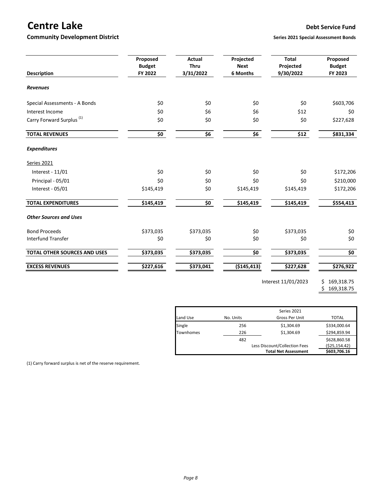# **Centre Lake Debt Service Fund**

## **Community Development District Series 2021** Series 2021 Special Assessment Bonds

| <b>Description</b>                   | Proposed<br><b>Budget</b><br>FY 2022 | <b>Actual</b><br><b>Thru</b><br>3/31/2022 | Projected<br><b>Next</b><br>6 Months | <b>Total</b><br>Projected<br>9/30/2022 | Proposed<br><b>Budget</b><br>FY 2023 |
|--------------------------------------|--------------------------------------|-------------------------------------------|--------------------------------------|----------------------------------------|--------------------------------------|
| <b>Revenues</b>                      |                                      |                                           |                                      |                                        |                                      |
| Special Assessments - A Bonds        | \$0                                  | \$0                                       | \$0                                  | \$0                                    | \$603,706                            |
| Interest Income                      | \$0                                  | \$6                                       | \$6                                  | \$12                                   | \$0                                  |
| Carry Forward Surplus <sup>(1)</sup> | \$0                                  | \$0                                       | \$0                                  | \$0                                    | \$227,628                            |
| <b>TOTAL REVENUES</b>                | \$0                                  | \$6                                       | \$6                                  | \$12                                   | \$831,334                            |
| <b>Expenditures</b>                  |                                      |                                           |                                      |                                        |                                      |
| Series 2021                          |                                      |                                           |                                      |                                        |                                      |
| Interest - 11/01                     | \$0                                  | \$0                                       | \$0                                  | \$0                                    | \$172,206                            |
| Principal - 05/01                    | \$0                                  | \$0                                       | \$0                                  | \$0                                    | \$210,000                            |
| Interest - 05/01                     | \$145,419                            | \$0                                       | \$145,419                            | \$145,419                              | \$172,206                            |
| <b>TOTAL EXPENDITURES</b>            | \$145,419                            | $\overline{\boldsymbol{\zeta_0}}$         | \$145,419                            | \$145,419                              | \$554,413                            |
| <b>Other Sources and Uses</b>        |                                      |                                           |                                      |                                        |                                      |
| <b>Bond Proceeds</b>                 | \$373,035                            | \$373,035                                 | \$0                                  | \$373,035                              | \$0                                  |
| <b>Interfund Transfer</b>            | \$0                                  | \$0                                       | \$0                                  | \$0                                    | \$0                                  |
| TOTAL OTHER SOURCES AND USES         | \$373,035                            | \$373,035                                 | \$0                                  | \$373,035                              | \$0                                  |
| <b>EXCESS REVENUES</b>               | \$227,616                            | \$373,041                                 | ( \$145, 413)                        | \$227,628                              | \$276,922                            |

Interest 11/01/2023 \$ 169,318.75

\$ 169,318.75

|           |           | Series 2021                   |                 |
|-----------|-----------|-------------------------------|-----------------|
| Land Use  | No. Units | Gross Per Unit                | TOTAL           |
| Single    | 256       | \$1,304.69                    | \$334,000.64    |
| Townhomes | 226       | \$1.304.69                    | \$294,859.94    |
|           | 482       |                               | \$628,860.58    |
|           |           | Less Discount/Collection Fees | ( \$25, 154.42) |
|           |           | <b>Total Net Assessment</b>   | \$603,706.16    |

(1) Carry forward surplus is net of the reserve requirement.